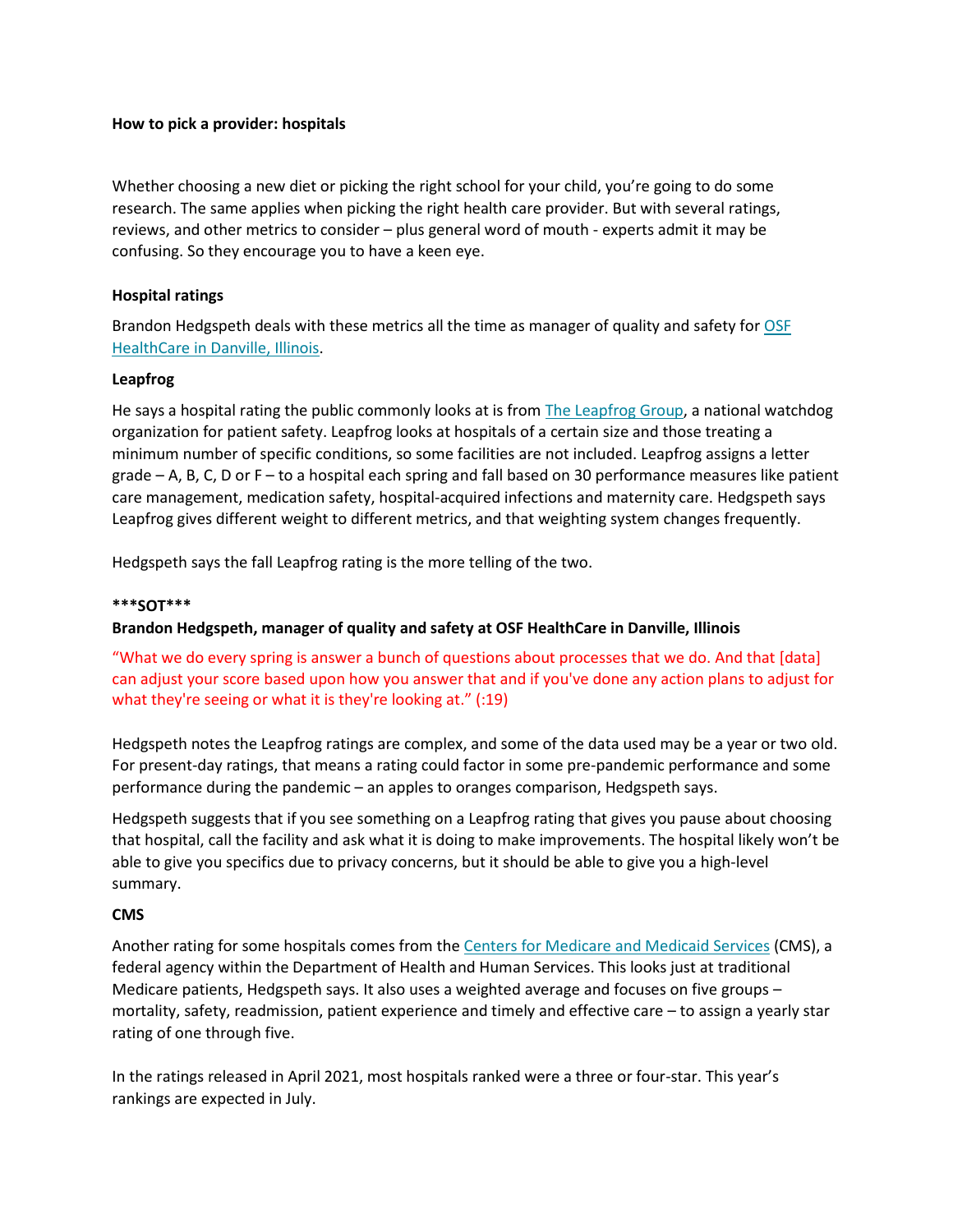## **How to pick a provider: hospitals**

Whether choosing a new diet or picking the right school for your child, you're going to do some research. The same applies when picking the right health care provider. But with several ratings, reviews, and other metrics to consider – plus general word of mouth - experts admit it may be confusing. So they encourage you to have a keen eye.

## **Hospital ratings**

Brandon Hedgspeth deals with these metrics all the time as manager of quality and safety for [OSF](https://www.osfhealthcare.org/sacred-heart/)  [HealthCare in Danville, Illinois.](https://www.osfhealthcare.org/sacred-heart/)

#### **Leapfrog**

He says a hospital rating the public commonly looks at is from [The Leapfrog Group,](https://www.hospitalsafetygrade.org/) a national watchdog organization for patient safety. Leapfrog looks at hospitals of a certain size and those treating a minimum number of specific conditions, so some facilities are not included. Leapfrog assigns a letter grade – A, B, C, D or F – to a hospital each spring and fall based on 30 performance measures like patient care management, medication safety, hospital-acquired infections and maternity care. Hedgspeth says Leapfrog gives different weight to different metrics, and that weighting system changes frequently.

Hedgspeth says the fall Leapfrog rating is the more telling of the two.

### **\*\*\*SOT\*\*\***

# **Brandon Hedgspeth, manager of quality and safety at OSF HealthCare in Danville, Illinois**

"What we do every spring is answer a bunch of questions about processes that we do. And that [data] can adjust your score based upon how you answer that and if you've done any action plans to adjust for what they're seeing or what it is they're looking at." (:19)

Hedgspeth notes the Leapfrog ratings are complex, and some of the data used may be a year or two old. For present-day ratings, that means a rating could factor in some pre-pandemic performance and some performance during the pandemic – an apples to oranges comparison, Hedgspeth says.

Hedgspeth suggests that if you see something on a Leapfrog rating that gives you pause about choosing that hospital, call the facility and ask what it is doing to make improvements. The hospital likely won't be able to give you specifics due to privacy concerns, but it should be able to give you a high-level summary.

#### **CMS**

Another rating for some hospitals comes from the [Centers for Medicare and Medicaid Services](https://data.cms.gov/provider-data/topics/hospitals/overall-hospital-quality-star-rating/) (CMS), a federal agency within the Department of Health and Human Services. This looks just at traditional Medicare patients, Hedgspeth says. It also uses a weighted average and focuses on five groups – mortality, safety, readmission, patient experience and timely and effective care – to assign a yearly star rating of one through five.

In the ratings released in April 2021, most hospitals ranked were a three or four-star. This year's rankings are expected in July.